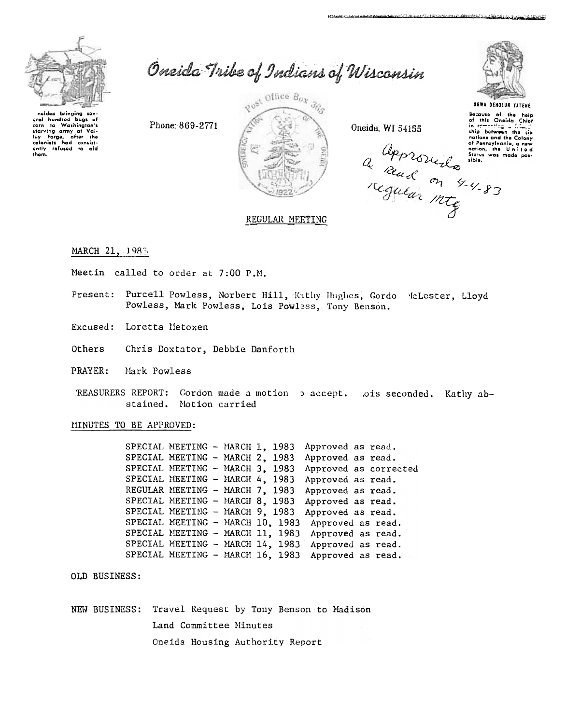

Oneida Tribe of Indians of Wisconsin

iaidas bringing sov aral hundred bags of corn to Washington's corn to washing...<br>starving army of Val-<br>for Forge, after the the ving army of Value is the colonists had consistently refused to aid them.

Phone: 869-2771



Oneida, WI 54155

a approvedo into



المعاني فمتشكلته المتفاعد

UGWA DEHOLUN YATEHE

Bacause of the help<br>of this Oneida Chief<br>in compasing in comoning a filled nations and the Calony of Pennsylvania, a new<br>nation, the United<br>States was made pos-

# REGULAR MEETING

## MARCH 21, 1983

- Meetin called to order at 7:00 P.M.
- Present: Purcell Powless, Norbert Hill, Kathy Hughes, Gordo McLester, Lloyd Powless, Mark Powless, Lois Powless, Tony Benson.
- Excused: Loretta Metoxen
- Others Chris Doxtator, Debbie Danforth
- PRAYER: Mark Powless
- 'REASURERS REPORT: Gordon made a motion b accept. ois seconded. Kathy abstained. Motion carried

### MINUTES TO BE APPROVED:

SPECIAL MEETING - MARCH 1, 1983 Approved as read. SPECIAL MEETING - MARCH 2, 1983 Approved as read. SPECIAL MEETING - MARCH 3, 1983 Approved as corrected SPECIAL MEETING - MARCH 4, 1983 Approved as read. REGULAR MEETING - MARCH 7, 1983 Approved as read. SPECIAL MEETING - MARCH 8, 1983 Approved as read. SPECIAL MEETING - MARCH 9, 1983 Approved as read. SPECIAL MEETING - MARCH 10, 1983 Approved as read. SPECIAL MEETING - MARCH 11, 1983 Approved as read. SPECIAL MEETING - MARCH 14, 1983 Approved as read. SPECIAL MEETING - MARCH 16, 1983 Approved as read.

OLD BUSINESS:

NEW BUSINESS: Travel Request by Tony Benson to Madison Land Committee Minutes Oneida Housing Authority Report